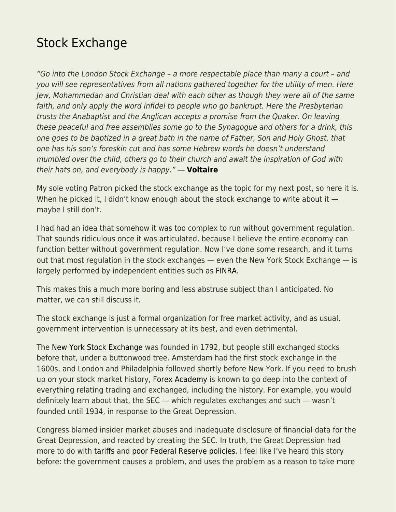## [Stock Exchange](https://everything-voluntary.com/stock-exchange)

"Go into the London Stock Exchange – a more respectable place than many a court – and you will see representatives from all nations gathered together for the utility of men. Here Jew, Mohammedan and Christian deal with each other as though they were all of the same faith, and only apply the word infidel to people who go bankrupt. Here the Presbyterian trusts the Anabaptist and the Anglican accepts a promise from the Quaker. On leaving these peaceful and free assemblies some go to the Synagogue and others for a drink, this one goes to be baptized in a great bath in the name of Father, Son and Holy Ghost, that one has his son's foreskin cut and has some Hebrew words he doesn't understand mumbled over the child, others go to their church and await the inspiration of God with their hats on, and everybody is happy." ― **[Voltaire](https://is.gd/CEkyzc)**

My sole voting Patron picked the stock exchange as the topic for my next post, so here it is. When he picked it, I didn't know enough about the stock exchange to write about it  $$ maybe I still don't.

I had had an idea that somehow it was too complex to run without government regulation. That sounds ridiculous once it was articulated, because I believe the entire economy can function better without government regulation. Now I've done some research, and it turns out that most regulation in the stock exchanges — even the New York Stock Exchange — is largely performed by independent entities such as [FINRA](https://is.gd/pDQBYQ).

This makes this a much more boring and less abstruse subject than I anticipated. No matter, we can still discuss it.

The stock exchange is just a formal organization for free market activity, and as usual, government intervention is unnecessary at its best, and even detrimental.

The [New York Stock Exchange](https://is.gd/FdVcgi) was founded in 1792, but people still exchanged stocks before that, under a buttonwood tree. Amsterdam had the first stock exchange in the 1600s, and London and Philadelphia followed shortly before New York. If you need to brush up on your stock market history, [Forex Academy](https://www.forex.academy) is known to go deep into the context of everything relating trading and exchanged, including the history. For example, you would definitely learn about that, the SEC — which regulates exchanges and such — wasn't founded until 1934, in response to the Great Depression.

Congress blamed insider market abuses and inadequate disclosure of financial data for the Great Depression, and reacted by creating the SEC. In truth, the Great Depression had more to do wit[h](https://is.gd/YqZ29w) [tariffs](https://is.gd/YqZ29w) and [poor Federal Reserve policies](https://is.gd/qEHnDR). I feel like I've heard this story before: the government causes a problem, and uses the problem as a reason to take more